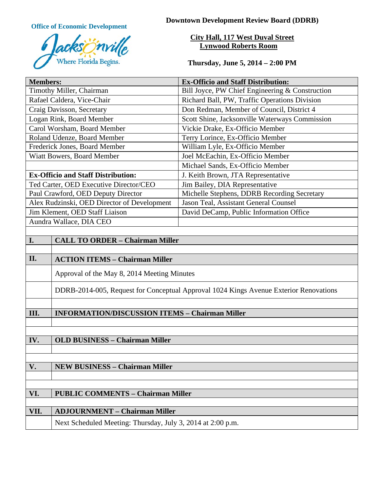

**Office of Economic Development Downtown Development Review Board (DDRB)** 

**City Hall, 117 West Duval Street Lynwood Roberts Room**

**Thursday, June 5, 2014 – 2:00 PM**

| <b>Members:</b>                                                                                                                                                                                                                                                                                                          | <b>Ex-Officio and Staff Distribution:</b>       |
|--------------------------------------------------------------------------------------------------------------------------------------------------------------------------------------------------------------------------------------------------------------------------------------------------------------------------|-------------------------------------------------|
| Timothy Miller, Chairman                                                                                                                                                                                                                                                                                                 | Bill Joyce, PW Chief Engineering & Construction |
| Rafael Caldera, Vice-Chair                                                                                                                                                                                                                                                                                               | Richard Ball, PW, Traffic Operations Division   |
| Craig Davisson, Secretary                                                                                                                                                                                                                                                                                                | Don Redman, Member of Council, District 4       |
| Logan Rink, Board Member                                                                                                                                                                                                                                                                                                 | Scott Shine, Jacksonville Waterways Commission  |
| Carol Worsham, Board Member                                                                                                                                                                                                                                                                                              | Vickie Drake, Ex-Officio Member                 |
| Roland Udenze, Board Member                                                                                                                                                                                                                                                                                              | Terry Lorince, Ex-Officio Member                |
| Frederick Jones, Board Member                                                                                                                                                                                                                                                                                            | William Lyle, Ex-Officio Member                 |
| <b>Wiatt Bowers, Board Member</b>                                                                                                                                                                                                                                                                                        | Joel McEachin, Ex-Officio Member                |
|                                                                                                                                                                                                                                                                                                                          | Michael Sands, Ex-Officio Member                |
| <b>Ex-Officio and Staff Distribution:</b>                                                                                                                                                                                                                                                                                | J. Keith Brown, JTA Representative              |
| Ted Carter, OED Executive Director/CEO                                                                                                                                                                                                                                                                                   | Jim Bailey, DIA Representative                  |
| Paul Crawford, OED Deputy Director                                                                                                                                                                                                                                                                                       | Michelle Stephens, DDRB Recording Secretary     |
| Alex Rudzinski, OED Director of Development                                                                                                                                                                                                                                                                              | Jason Teal, Assistant General Counsel           |
| Jim Klement, OED Staff Liaison                                                                                                                                                                                                                                                                                           | David DeCamp, Public Information Office         |
| Aundra Wallace, DIA CEO                                                                                                                                                                                                                                                                                                  |                                                 |
|                                                                                                                                                                                                                                                                                                                          |                                                 |
| <b>CALL TO ORDER - Chairman Miller</b><br>I.                                                                                                                                                                                                                                                                             |                                                 |
|                                                                                                                                                                                                                                                                                                                          |                                                 |
| <b>TT</b><br>$\lambda$ and $\lambda$ in $\mathbb{R}$ in $\mathbb{R}$ and $\mathbb{R}$ and $\mathbb{R}$ in $\mathbb{R}$ in $\mathbb{R}$ in $\mathbb{R}$ in $\mathbb{R}$ in $\mathbb{R}$ in $\mathbb{R}$ in $\mathbb{R}$ in $\mathbb{R}$ in $\mathbb{R}$ in $\mathbb{R}$ in $\mathbb{R}$ in $\mathbb{R}$ in $\mathbb{R}$ i |                                                 |

**II. ACTION ITEMS – Chairman Miller**

Approval of the May 8, 2014 Meeting Minutes

DDRB-2014-005, Request for Conceptual Approval 1024 Kings Avenue Exterior Renovations

**III. INFORMATION/DISCUSSION ITEMS – Chairman Miller**

**IV. OLD BUSINESS – Chairman Miller**

**V. NEW BUSINESS – Chairman Miller**

# **VI. PUBLIC COMMENTS – Chairman Miller**

**VII. ADJOURNMENT – Chairman Miller**

Next Scheduled Meeting: Thursday, July 3, 2014 at 2:00 p.m.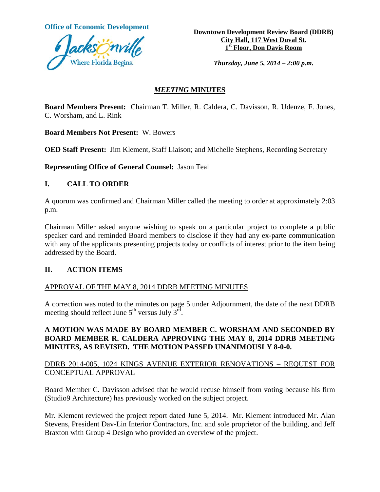

**Office of Economic Development <br>Downtown Development Review Board (DDRB) City Hall, 117 West Duval St. 1st Floor, Don Davis Room** 

*Thursday, June 5, 2014 – 2:00 p.m.* 

### *MEETING* **MINUTES**

**Board Members Present:** Chairman T. Miller, R. Caldera, C. Davisson, R. Udenze, F. Jones, C. Worsham, and L. Rink

**Board Members Not Present:** W. Bowers

**OED Staff Present:** Jim Klement, Staff Liaison; and Michelle Stephens, Recording Secretary

**Representing Office of General Counsel:** Jason Teal

### **I. CALL TO ORDER**

A quorum was confirmed and Chairman Miller called the meeting to order at approximately 2:03 p.m.

Chairman Miller asked anyone wishing to speak on a particular project to complete a public speaker card and reminded Board members to disclose if they had any ex-parte communication with any of the applicants presenting projects today or conflicts of interest prior to the item being addressed by the Board.

#### **II. ACTION ITEMS**

#### APPROVAL OF THE MAY 8, 2014 DDRB MEETING MINUTES

A correction was noted to the minutes on page 5 under Adjournment, the date of the next DDRB meeting should reflect June  $5<sup>th</sup>$  versus July  $3<sup>rd</sup>$ .

### **A MOTION WAS MADE BY BOARD MEMBER C. WORSHAM AND SECONDED BY BOARD MEMBER R. CALDERA APPROVING THE MAY 8, 2014 DDRB MEETING MINUTES, AS REVISED. THE MOTION PASSED UNANIMOUSLY 8-0-0.**

### DDRB 2014-005, 1024 KINGS AVENUE EXTERIOR RENOVATIONS – REQUEST FOR CONCEPTUAL APPROVAL

Board Member C. Davisson advised that he would recuse himself from voting because his firm (Studio9 Architecture) has previously worked on the subject project.

Mr. Klement reviewed the project report dated June 5, 2014. Mr. Klement introduced Mr. Alan Stevens, President Dav-Lin Interior Contractors, Inc. and sole proprietor of the building, and Jeff Braxton with Group 4 Design who provided an overview of the project.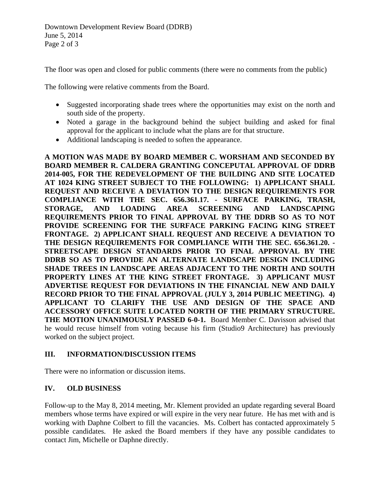Downtown Development Review Board (DDRB) June 5, 2014 Page 2 of 3

The floor was open and closed for public comments (there were no comments from the public)

The following were relative comments from the Board.

- Suggested incorporating shade trees where the opportunities may exist on the north and south side of the property.
- Noted a garage in the background behind the subject building and asked for final approval for the applicant to include what the plans are for that structure.
- Additional landscaping is needed to soften the appearance.

**A MOTION WAS MADE BY BOARD MEMBER C. WORSHAM AND SECONDED BY BOARD MEMBER R. CALDERA GRANTING CONCEPUTAL APPROVAL OF DDRB 2014-005, FOR THE REDEVELOPMENT OF THE BUILDING AND SITE LOCATED AT 1024 KING STREET SUBJECT TO THE FOLLOWING: 1) APPLICANT SHALL REQUEST AND RECEIVE A DEVIATION TO THE DESIGN REQUIREMENTS FOR COMPLIANCE WITH THE SEC. 656.361.17. - SURFACE PARKING, TRASH, STORAGE, AND LOADING AREA SCREENING AND LANDSCAPING REQUIREMENTS PRIOR TO FINAL APPROVAL BY THE DDRB SO AS TO NOT PROVIDE SCREENING FOR THE SURFACE PARKING FACING KING STREET FRONTAGE. 2) APPLICANT SHALL REQUEST AND RECEIVE A DEVIATION TO THE DESIGN REQUIREMENTS FOR COMPLIANCE WITH THE SEC. 656.361.20. - STREETSCAPE DESIGN STANDARDS PRIOR TO FINAL APPROVAL BY THE DDRB SO AS TO PROVIDE AN ALTERNATE LANDSCAPE DESIGN INCLUDING SHADE TREES IN LANDSCAPE AREAS ADJACENT TO THE NORTH AND SOUTH PROPERTY LINES AT THE KING STREET FRONTAGE. 3) APPLICANT MUST ADVERTISE REQUEST FOR DEVIATIONS IN THE FINANCIAL NEW AND DAILY RECORD PRIOR TO THE FINAL APPROVAL (JULY 3, 2014 PUBLIC MEETING). 4) APPLICANT TO CLARIFY THE USE AND DESIGN OF THE SPACE AND ACCESSORY OFFICE SUITE LOCATED NORTH OF THE PRIMARY STRUCTURE. THE MOTION UNANIMOUSLY PASSED 6-0-1.** Board Member C. Davisson advised that he would recuse himself from voting because his firm (Studio9 Architecture) has previously worked on the subject project.

## **III. INFORMATION/DISCUSSION ITEMS**

There were no information or discussion items.

## **IV. OLD BUSINESS**

Follow-up to the May 8, 2014 meeting, Mr. Klement provided an update regarding several Board members whose terms have expired or will expire in the very near future. He has met with and is working with Daphne Colbert to fill the vacancies. Ms. Colbert has contacted approximately 5 possible candidates. He asked the Board members if they have any possible candidates to contact Jim, Michelle or Daphne directly.